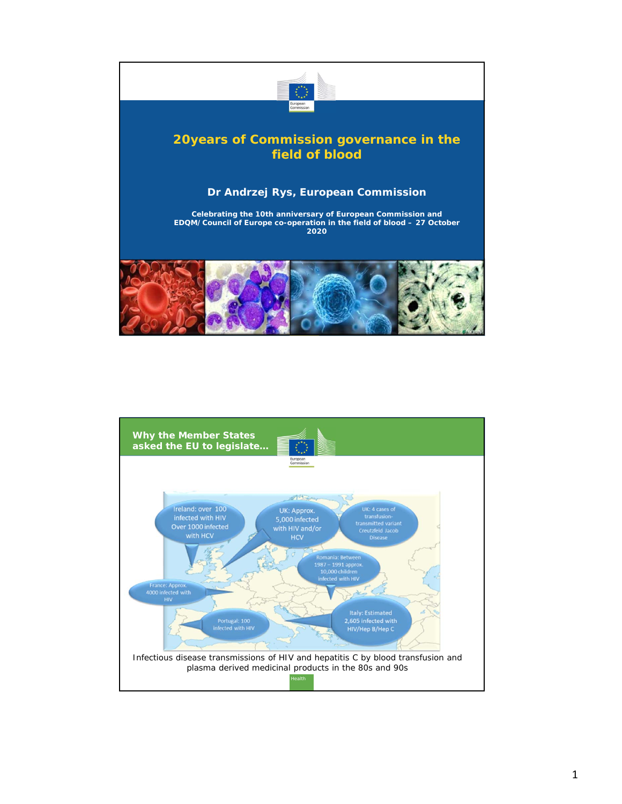

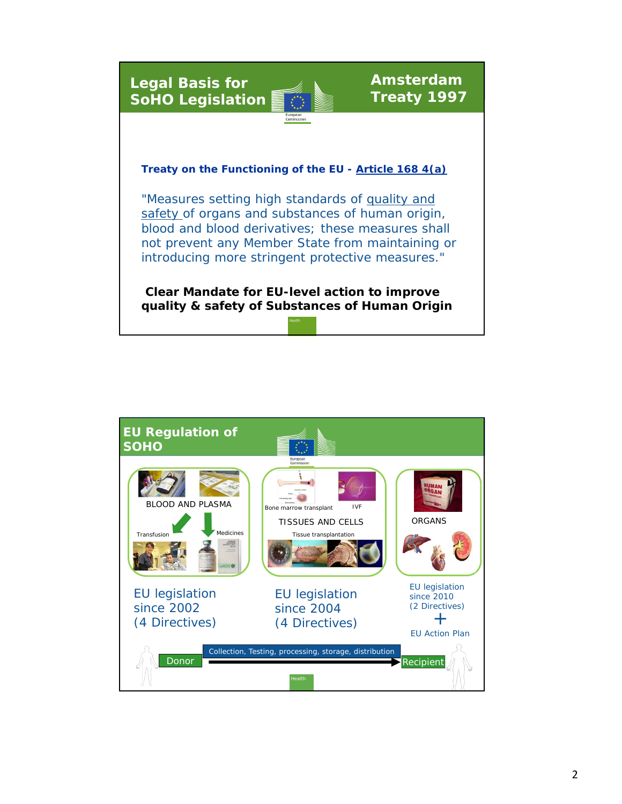**Legal Basis for SoHO Legislation**



**Amsterdam Treaty 1997**

**Treaty on the Functioning of the EU - Article 168 4(a)** 

"Measures setting high standards of quality and safety of organs and substances of human origin, blood and blood derivatives; these measures shall not prevent any Member State from maintaining or introducing more stringent protective measures."

**Clear Mandate for EU-level action to improve quality & safety of Substances of Human Origin**

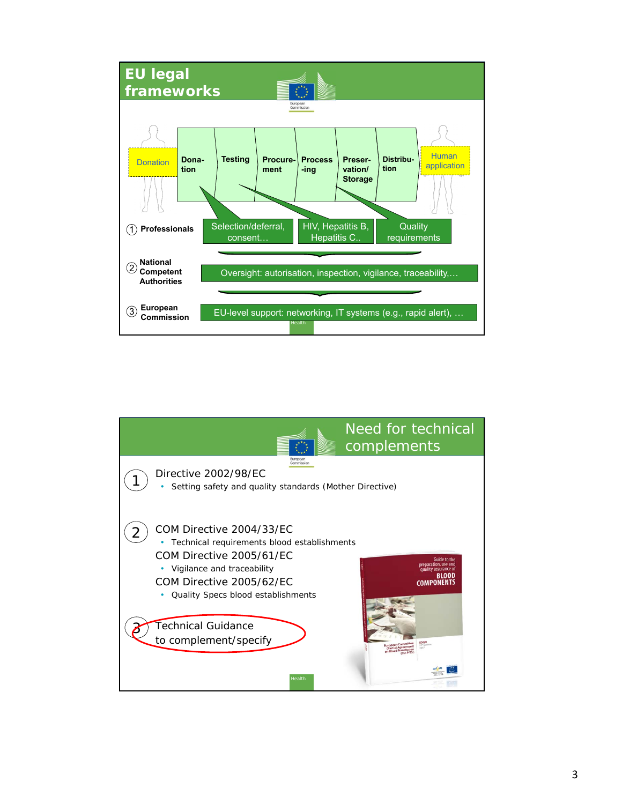

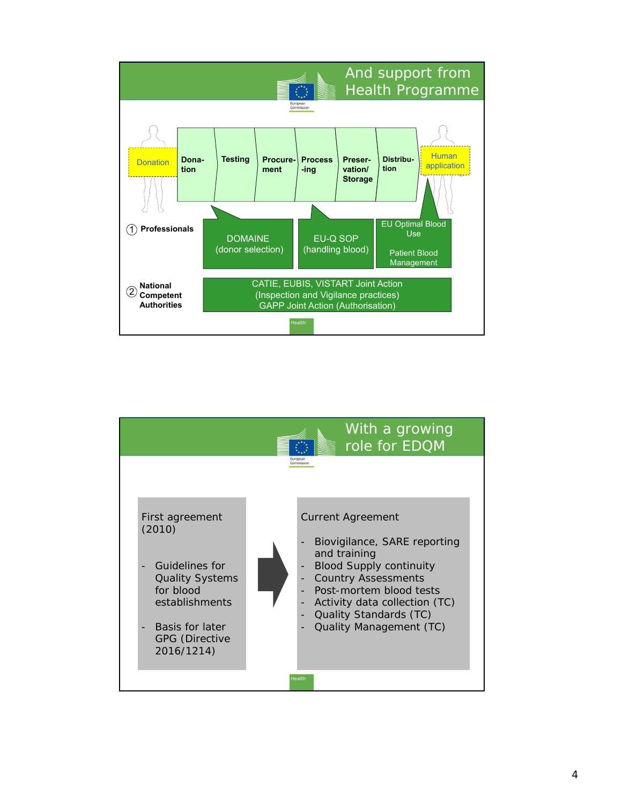

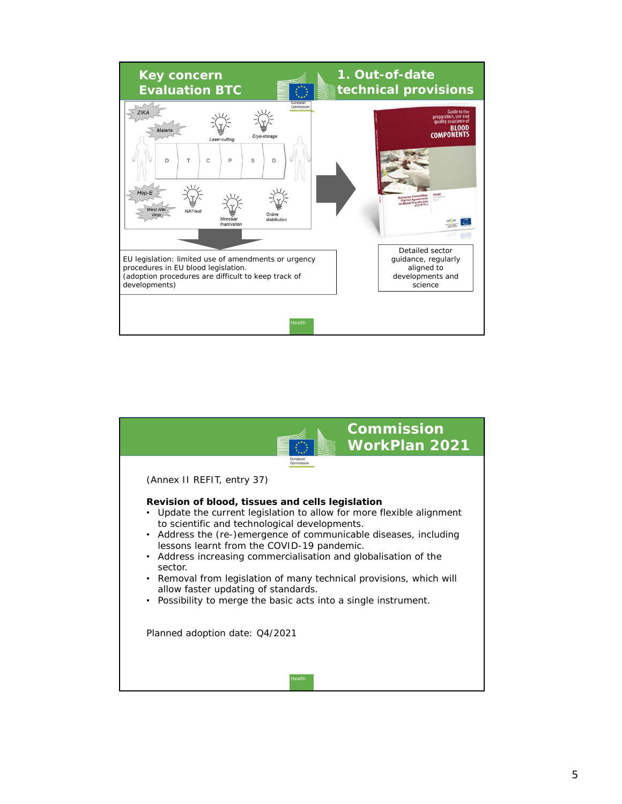